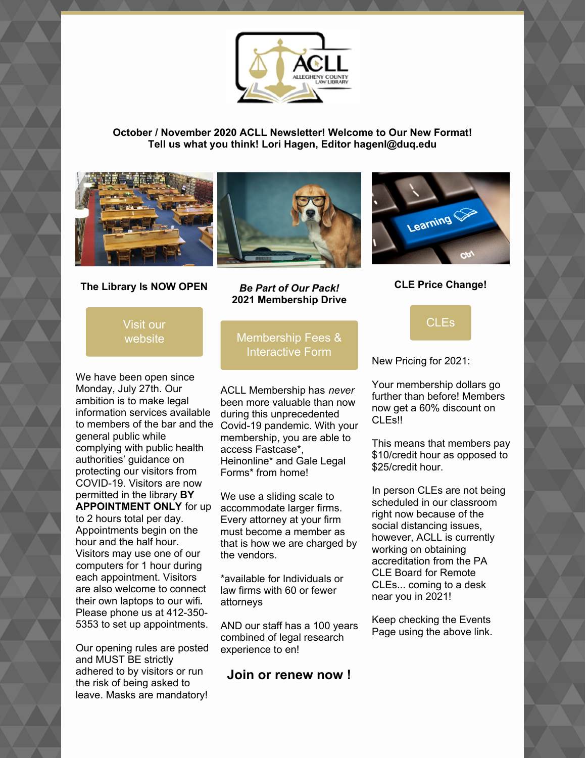

### **October / November 2020 ACLL Newsletter! Welcome to Our New Format! Tell us what you think! Lori Hagen, Editor hagenl@duq.edu**







**CLE Price Change!**

**[CLEs](https://www.acllib.org/events/)** 

### **The Library Is NOW OPEN**

Visit our [website](https://www.acllib.org/)

We have been open since Monday, July 27th. Our ambition is to make legal information services available to members of the bar and the general public while complying with public health authorities' guidance on protecting our visitors from COVID-19. Visitors are now permitted in the library **BY APPOINTMENT ONLY** for up to 2 hours total per day. Appointments begin on the hour and the half hour. Visitors may use one of our computers for 1 hour during each appointment. Visitors are also welcome to connect their own laptops to our wifi**.** Please phone us at 412-350- 5353 to set up appointments.

Our opening rules are posted and MUST BE strictly adhered to by visitors or run the risk of being asked to leave. Masks are mandatory!

*Be Part of Our Pack!* **2021 Membership Drive**

# [Membership](https://www.acllib.org/index.php/membership/) Fees & Interactive Form

ACLL Membership has *never* been more valuable than now during this unprecedented Covid-19 pandemic. With your membership, you are able to access Fastcase\*, Heinonline\* and Gale Legal Forms\* from home!

We use a sliding scale to accommodate larger firms. Every attorney at your firm must become a member as that is how we are charged by the vendors.

\*available for Individuals or law firms with 60 or fewer attorneys

AND our staff has a 100 years combined of legal research experience to en!

### **Join or renew now !**

New Pricing for 2021:

Your membership dollars go further than before! Members now get a 60% discount on CLEs!!

This means that members pay \$10/credit hour as opposed to \$25/credit hour.

In person CLEs are not being scheduled in our classroom right now because of the social distancing issues, however, ACLL is currently working on obtaining accreditation from the PA CLE Board for Remote CLEs... coming to a desk near you in 2021!

Keep checking the Events Page using the above link.